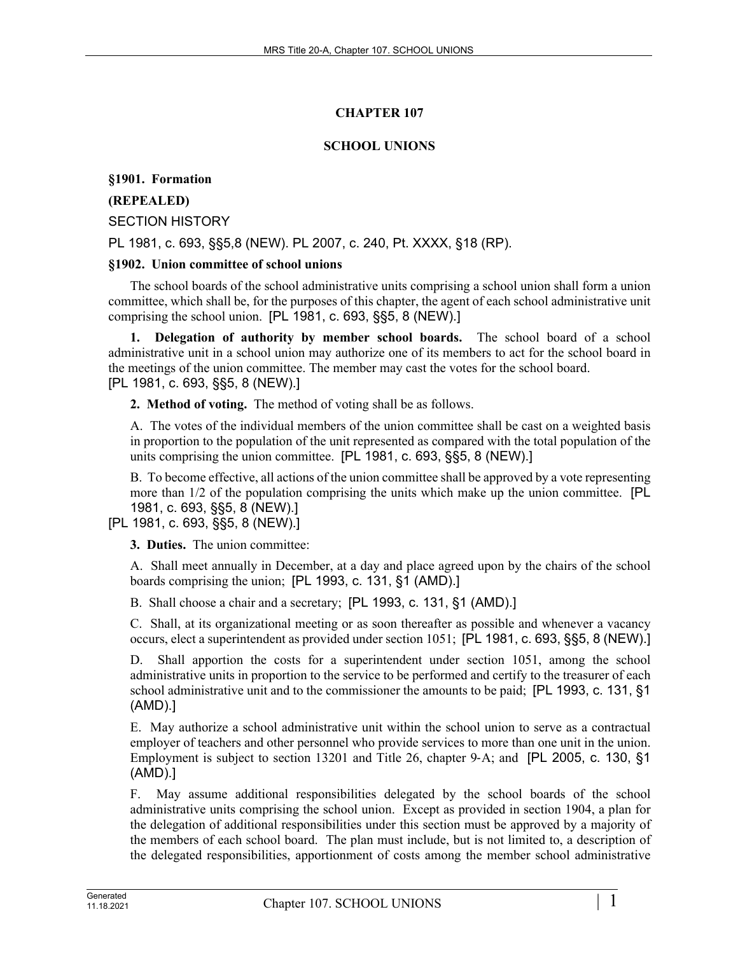# **CHAPTER 107**

## **SCHOOL UNIONS**

**§1901. Formation**

## **(REPEALED)**

SECTION HISTORY

PL 1981, c. 693, §§5,8 (NEW). PL 2007, c. 240, Pt. XXXX, §18 (RP).

### **§1902. Union committee of school unions**

The school boards of the school administrative units comprising a school union shall form a union committee, which shall be, for the purposes of this chapter, the agent of each school administrative unit comprising the school union. [PL 1981, c. 693, §§5, 8 (NEW).]

**1. Delegation of authority by member school boards.** The school board of a school administrative unit in a school union may authorize one of its members to act for the school board in the meetings of the union committee. The member may cast the votes for the school board. [PL 1981, c. 693, §§5, 8 (NEW).]

**2. Method of voting.** The method of voting shall be as follows.

A. The votes of the individual members of the union committee shall be cast on a weighted basis in proportion to the population of the unit represented as compared with the total population of the units comprising the union committee. [PL 1981, c. 693, §§5, 8 (NEW).]

B. To become effective, all actions of the union committee shall be approved by a vote representing more than 1/2 of the population comprising the units which make up the union committee. [PL 1981, c. 693, §§5, 8 (NEW).]

### [PL 1981, c. 693, §§5, 8 (NEW).]

**3. Duties.** The union committee:

A. Shall meet annually in December, at a day and place agreed upon by the chairs of the school boards comprising the union; [PL 1993, c. 131, §1 (AMD).]

B. Shall choose a chair and a secretary; [PL 1993, c. 131, §1 (AMD).]

C. Shall, at its organizational meeting or as soon thereafter as possible and whenever a vacancy occurs, elect a superintendent as provided under section 1051; [PL 1981, c. 693, §§5, 8 (NEW).]

D. Shall apportion the costs for a superintendent under section 1051, among the school administrative units in proportion to the service to be performed and certify to the treasurer of each school administrative unit and to the commissioner the amounts to be paid; [PL 1993, c. 131, §1 (AMD).]

E. May authorize a school administrative unit within the school union to serve as a contractual employer of teachers and other personnel who provide services to more than one unit in the union. Employment is subject to section 13201 and Title 26, chapter 9‑A; and [PL 2005, c. 130, §1 (AMD).]

F. May assume additional responsibilities delegated by the school boards of the school administrative units comprising the school union. Except as provided in section 1904, a plan for the delegation of additional responsibilities under this section must be approved by a majority of the members of each school board. The plan must include, but is not limited to, a description of the delegated responsibilities, apportionment of costs among the member school administrative